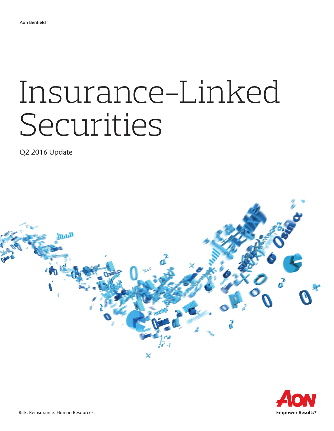# Insurance-Linked Securities

Q2 2016 Update



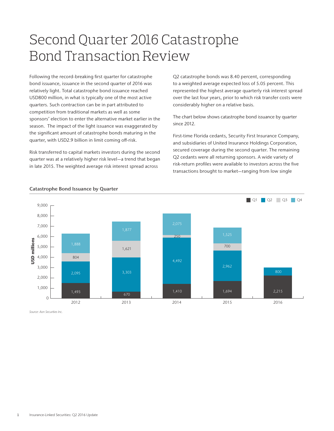## Second Quarter 2016 Catastrophe Bond Transaction Review

Following the record-breaking first quarter for catastrophe bond issuance, issuance in the second quarter of 2016 was relatively light. Total catastrophe bond issuance reached USD800 million, in what is typically one of the most active quarters. Such contraction can be in part attributed to competition from traditional markets as well as some sponsors' election to enter the alternative market earlier in the season. The impact of the light issuance was exaggerated by the significant amount of catastrophe bonds maturing in the quarter, with USD2.9 billion in limit coming off-risk.

Risk transferred to capital markets investors during the second quarter was at a relatively higher risk level—a trend that began in late 2015. The weighted average risk interest spread across

Q2 catastrophe bonds was 8.40 percent, corresponding to a weighted average expected loss of 5.05 percent. This represented the highest average quarterly risk interest spread over the last four years, prior to which risk transfer costs were considerably higher on a relative basis.

The chart below shows catastrophe bond issuance by quarter since 2012.

First-time Florida cedants, Security First Insurance Company, and subsidiaries of United Insurance Holdings Corporation, secured coverage during the second quarter. The remaining Q2 cedants were all returning sponsors. A wide variety of risk-return profiles were available to investors across the five transactions brought to market—ranging from low single



#### Catastrophe Bond Issuance by Quarter

*Source: Aon Securities Inc.*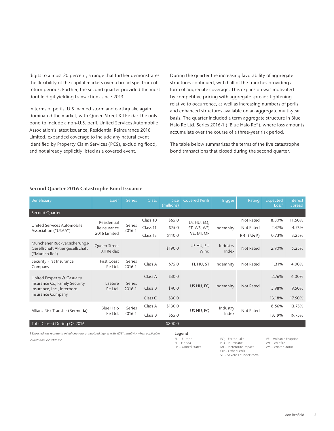digits to almost 20 percent, a range that further demonstrates the flexibility of the capital markets over a broad spectrum of return periods. Further, the second quarter provided the most double digit yielding transactions since 2013.

In terms of perils, U.S. named storm and earthquake again dominated the market, with Queen Street XII Re dac the only bond to include a non-U.S. peril. United Services Automobile Association's latest issuance, Residential Reinsurance 2016 Limited, expanded coverage to include any natural event identified by Property Claim Services (PCS), excluding flood, and not already explicitly listed as a covered event.

During the quarter the increasing favorability of aggregate structures continued, with half of the tranches providing a form of aggregate coverage. This expansion was motivated by competitive pricing with aggregate spreads tightening relative to occurrence, as well as increasing numbers of perils and enhanced structures available on an aggregate multi-year basis. The quarter included a term aggregate structure in Blue Halo Re Ltd. Series 2016-1 ("Blue Halo Re"), where loss amounts accumulate over the course of a three-year risk period.

The table below summarizes the terms of the five catastrophe bond transactions that closed during the second quarter.

| Beneficiary                                                                                                           | Issuer                                     | <b>Series</b>    | <b>Class</b>        | Size<br>(millions) | <b>Covered Perils</b>                   | <b>Trigger</b>    | Rating      | Expected<br>Loss <sup>1</sup> | Interest<br>Spread |
|-----------------------------------------------------------------------------------------------------------------------|--------------------------------------------|------------------|---------------------|--------------------|-----------------------------------------|-------------------|-------------|-------------------------------|--------------------|
| Second Quarter                                                                                                        |                                            |                  |                     |                    |                                         |                   |             |                               |                    |
| United Services Automobile<br>Association ("USAA")                                                                    | Residential<br>Reinsurance<br>2016 Limited | Series<br>2016-1 | Class 10            | \$65.0             | US HU, EQ,<br>ST, WS, WF,<br>VE, MI, OP | Indemnity         | Not Rated   | 8.80%                         | 11.50%             |
|                                                                                                                       |                                            |                  | Class <sub>11</sub> | \$75.0             |                                         |                   | Not Rated   | 2.47%                         | 4.75%              |
|                                                                                                                       |                                            |                  | Class 13            | \$110.0            |                                         |                   | $BB-(S\&P)$ | 0.73%                         | 3.25%              |
| Münchener Rückversicherungs-<br>Gesellschaft Aktiengesellschaft<br>("Munich Re")                                      | Queen Street<br>XII Re dac                 |                  |                     | \$190.0            | US HU, EU<br>Wind                       | Industry<br>Index | Not Rated   | 2.90%                         | 5.25%              |
| Security First Insurance<br>Company                                                                                   | First Coast<br>Re Ltd.                     | Series<br>2016-1 | Class A             | \$75.0             | FL HU, ST                               | Indemnity         | Not Rated   | 1.31%                         | 4.00%              |
| United Property & Casualty<br>Insurance Co, Family Security<br>Insurance, Inc., Interboro<br><b>Insurance Company</b> | Laetere<br>Re Ltd.                         | Series<br>2016-1 | Class A             | \$30.0             | US HU, EQ<br>Indemnity                  |                   | 2.76%       | 6.00%                         |                    |
|                                                                                                                       |                                            |                  | Class B             | \$40.0             |                                         |                   | Not Rated   | 5.98%                         | 9.50%              |
|                                                                                                                       |                                            |                  | Class C             | \$30.0             |                                         |                   | 13.18%      | 17.50%                        |                    |
| Allianz Risk Transfer (Bermuda)                                                                                       | Blue Halo<br>Re Ltd.                       | Series<br>2016-1 | Class A             | \$130.0            | US HU, EQ                               | Industry<br>Index | Not Rated   | 8.56%                         | 13.75%             |
|                                                                                                                       |                                            |                  | Class B             | \$55.0             |                                         |                   |             | 13.19%                        | 19.75%             |
| Total Closed During Q2 2016                                                                                           |                                            |                  |                     | \$800.0            |                                         |                   |             |                               |                    |

#### Second Quarter 2016 Catastrophe Bond Issuance

1 *Expected loss represents initial one-year annualized figures with WSST sensitivity when applicable*

*Source: Aon Securities Inc.* EU − Europe

### Legend

EQ − Earthquake HU − Hurricane MI − Meterorite Impact OP − Other Perils ST − Severe Thunderstorm VE − Volcanic Eruption WF – Wildfire WS − Winter Storm

FL − Florida US – United States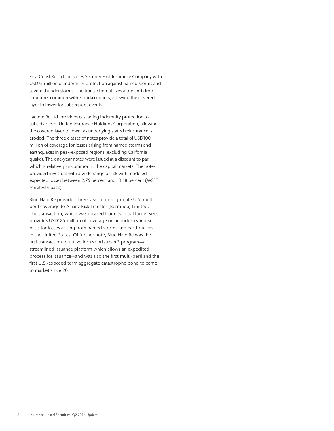First Coast Re Ltd. provides Security First Insurance Company with USD75 million of indemnity protection against named storms and severe thunderstorms. The transaction utilizes a top and drop structure, common with Florida cedants, allowing the covered layer to lower for subsequent events.

Laetere Re Ltd. provides cascading indemnity protection to subsidiaries of United Insurance Holdings Corporation, allowing the covered layer to lower as underlying stated reinsurance is eroded. The three classes of notes provide a total of USD100 million of coverage for losses arising from named storms and earthquakes in peak-exposed regions (excluding California quake). The one-year notes were issued at a discount to par, which is relatively uncommon in the capital markets. The notes provided investors with a wide range of risk with modeled expected losses between 2.76 percent and 13.18 percent (WSST sensitivity basis).

Blue Halo Re provides three-year term aggregate U.S. multiperil coverage to Allianz Risk Transfer (Bermuda) Limited. The transaction, which was upsized from its initial target size, provides USD185 million of coverage on an industry index basis for losses arising from named storms and earthquakes in the United States. Of further note, Blue Halo Re was the first transaction to utilize Aon's CATstream® program—a streamlined issuance platform which allows an expedited process for issuance—and was also the first multi-peril and the first U.S.-exposed term aggregate catastrophe bond to come to market since 2011.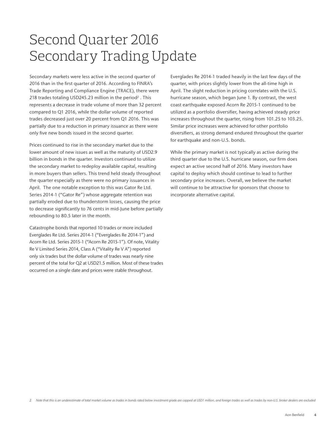### Second Quarter 2016 Secondary Trading Update

Secondary markets were less active in the second quarter of 2016 than in the first quarter of 2016. According to FINRA's Trade Reporting and Compliance Engine (TRACE), there were 218 trades totaling USD245.23 million in the period<sup>2</sup>. This represents a decrease in trade volume of more than 32 percent compared to Q1 2016, while the dollar volume of reported trades decreased just over 20 percent from Q1 2016. This was partially due to a reduction in primary issuance as there were only five new bonds issued in the second quarter.

Prices continued to rise in the secondary market due to the lower amount of new issues as well as the maturity of USD2.9 billion in bonds in the quarter. Investors continued to utilize the secondary market to redeploy available capital, resulting in more buyers than sellers. This trend held steady throughout the quarter especially as there were no primary issuances in April. The one notable exception to this was Gator Re Ltd. Series 2014-1 ("Gator Re") whose aggregate retention was partially eroded due to thunderstorm losses, causing the price to decrease significantly to 76 cents in mid-June before partially rebounding to 80.5 later in the month.

Catastrophe bonds that reported 10 trades or more included Everglades Re Ltd. Series 2014-1 ("Everglades Re 2014-1") and Acorn Re Ltd. Series 2015-1 ("Acorn Re 2015-1"). Of note, Vitality Re V Limited Series 2014, Class A ("Vitality Re V A") reported only six trades but the dollar volume of trades was nearly nine percent of the total for Q2 at USD21.5 million. Most of these trades occurred on a single date and prices were stable throughout.

Everglades Re 2014-1 traded heavily in the last few days of the quarter, with prices slightly lower from the all-time high in April. The slight reduction in pricing correlates with the U.S. hurricane season, which began June 1. By contrast, the west coast earthquake exposed Acorn Re 2015-1 continued to be utilized as a portfolio diversifier, having achieved steady price increases throughout the quarter, rising from 101.25 to 103.25. Similar price increases were achieved for other portfolio diversifiers, as strong demand endured throughout the quarter for earthquake and non-U.S. bonds.

While the primary market is not typically as active during the third quarter due to the U.S. hurricane season, our firm does expect an active second half of 2016. Many investors have capital to deploy which should continue to lead to further secondary price increases. Overall, we believe the market will continue to be attractive for sponsors that choose to incorporate alternative capital.

2 *Note that this is an underestimate of total market volume as trades in bonds rated below investment grade are capped at USD1 million, and foreign trades as well as trades by non-U.S. broker dealers are excluded*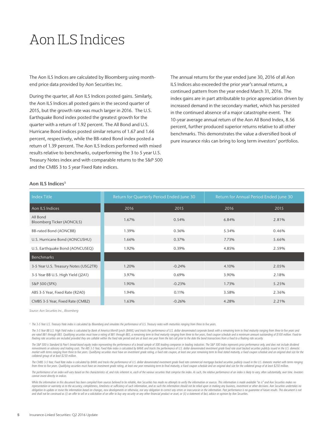### Aon ILS Indices

The Aon ILS Indices are calculated by Bloomberg using monthend price data provided by Aon Securities Inc.

During the quarter, all Aon ILS Indices posted gains. Similarly, the Aon ILS Indices all posted gains in the second quarter of 2015, but the growth rate was much larger in 2016. The U.S. Earthquake Bond index posted the greatest growth for the quarter with a return of 1.92 percent. The All Bond and U.S. Hurricane Bond indices posted similar returns of 1.67 and 1.66 percent, respectively, while the BB-rated Bond index posted a return of 1.39 percent. The Aon ILS Indices performed with mixed results relative to benchmarks, outperforming the 3 to 5 year U.S. Treasury Notes index and with comparable returns to the S&P 500 and the CMBS 3 to 5 year Fixed Rate indices.

The annual returns for the year ended June 30, 2016 of all Aon ILS Indices also exceeded the prior year's annual returns, a continued pattern from the year ended March 31, 2016. The index gains are in part attributable to price appreciation driven by increased demand in the secondary market, which has persisted in the continued absence of a major catastrophe event. The 10-year average annual return of the Aon All Bond Index, 8.56 percent, further produced superior returns relative to all other benchmarks. This demonstrates the value a diversified book of pure insurance risks can bring to long term investors' portfolios.

| <b>Index Title</b>                     |       | Return for Quarterly Period Ended June 30 | Return for Annual Period Ended June 30 |       |  |  |
|----------------------------------------|-------|-------------------------------------------|----------------------------------------|-------|--|--|
| Aon ILS Indices                        | 2016  | 2015                                      | 2016                                   | 2015  |  |  |
| All Bond<br>Bloomberg Ticker (AONCILS) | 1.67% | 0.54%                                     | 6.84%                                  | 2.81% |  |  |
| BB-rated Bond (AONCBB)                 | 1.39% | 0.36%                                     | 5.34%                                  | 0.46% |  |  |
| U.S. Hurricane Bond (AONCUSHU)         | 1.66% | 0.37%                                     | 7.73%                                  | 5.66% |  |  |
| U.S. Earthquake Bond (AONCUSEQ)        | 1.92% | 0.39%                                     | 4.85%                                  | 2.59% |  |  |
| Benchmarks                             |       |                                           |                                        |       |  |  |
| 3-5 Year U.S. Treasury Notes (USG2TR)  | 1.20% | $-0.24%$                                  | 4.10%                                  | 2.05% |  |  |
| 3-5 Year BB U.S. High Yield (J2A1)     | 3.97% | 0.69%                                     | 3.90%                                  | 2.18% |  |  |
| S&P 500 (SPX)                          | 1.90% | $-0.23%$                                  | 1.73%                                  | 5.25% |  |  |
| ABS 3-5 Year, Fixed Rate (R2A0)        | 1.94% | 0.11%                                     | 3.58%                                  | 2.36% |  |  |
| CMBS 3-5 Year, Fixed Rate (CMB2)       | 1.63% | $-0.26%$                                  | 4.28%                                  | 2.21% |  |  |

#### Aon ILS Indices3

*Source: Aon Securities Inc., Bloomberg*

*3 The 3-5 Year U.S. Treasury Note index is calculated by Bloomberg and simulates the performance of U.S. Treasury notes with maturities ranging from three to five years.*

The 3-5 Year BB U.S. High Yield index is calculated by Bank of America Merrill Lynch (BAML) and tracks the performance of U.S. dollar denominated corporate bonds with a remaining term to final maturity ranging from three t are rated BB1 through BB3. Qualifying securities must have a rating of BB1 through BB3, a remaining term to final maturity ranging from three to five years, fixed coupon schedule and a minimum amount outstanding of \$100 mi floating rate securities are included provided they are callable within the fixed rate period and are at least one year from the last call prior to the date the bond transactions from a fixed to a floating rate security.

The S&P 500 is Standard & Poor's broad-based equity index representing the performance of a broad sample of 500 leading companies in leading industries. The S&P 500 Index represents price performance only, and does not inc reinvestments or advisory and trading costs. The ABS 3-5 Year, Fixed Rate index is calculated by BAML and tracks the performance of U.S. dollar denominated investment grade fixed rate asset backed securities publicly issue market with terms ranging from three to five years. Qualifying securities must have an investment grade rating, a fixed rate coupon, at least one year remaining term to final stated maturity, a fixed coupon schedule and an *collateral group of at least \$250 million.*

The CMBS 3-5 Year, Fixed Rate index is calculated by BAML and tracks the performance of U.S. dollar denominated investment qrade fixed rate commercial mortgage backed securities publicly issued in the U.S. domestic market from three to five years. Qualifying securities must have an investment grade rating, at least one year remaining term to final maturity, a fixed coupon schedule and an original deal size for the collateral group of at lea

The performance of an index will vary based on the characteristics of, and risks inherent in, each of the various securities that comprise the index. As such, the relative performance of an index is likely to vary, often s *cannot invest directly in indices.*

While the information in this document has been compiled from sources believed to be reliable, Aon Securities has made no attempts to verify the information or sources. This information is made available "as is" and Aon Se representation or warranty as to the accuracy, completeness, timeliness or sufficiency of such information, and as such the information should not be relied upon in making any business, investment or other decisions. Aon S obligation to update or revise the information based on changes, new developments or otherwise, nor any obligation to correct any errors or inaccuracies in the information. Past performance is no quarantee of future result *and shall not be construed as (i) an offer to sell or a solicitation of an offer to buy any security or any other financial product or asset, or (ii) a statement of fact, advice or opinion by Aon Securities.*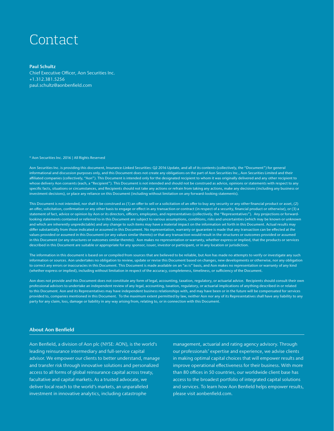### Contact

#### Paul Schultz

Chief Executive Officer, Aon Securities Inc. +1.312.381.5256 paul.schultz@aonbenfield.com

#### © Aon Securities Inc. 2016 | All Rights Reserved

Aon Securities Inc. is providing this document, Insurance-Linked Securities: Q2 2016 Update, and all of its contents (collectively, the "Document") for general informational and discussion purposes only, and this Document does not create any obligations on the part of Aon Securities Inc., Aon Securities Limited and their affiliated companies (collectively, "Aon"). This Document is intended only for the designated recipient to whom it was originally delivered and any other recipient to whose delivery Aon consents (each, a "Recipient"). This Document is not intended and should not be construed as advice, opinions or statements with respect to any specific facts, situations or circumstances, and Recipients should not take any actions or refrain from taking any actions, make any decisions (including any business or investment decisions), or place any reliance on this Document (including without limitation on any forward-looking statements).

This Document is not intended, nor shall it be construed as (1) an offer to sell or a solicitation of an offer to buy any security or any other financial product or asset, (2) an offer, solicitation, confirmation or any other basis to engage or effect in any transaction or contract (in respect of a security, financial product or otherwise), or (3) a statement of fact, advice or opinion by Aon or its directors, officers, employees, and representatives (collectively, the "Representatives"). Any projections or forwardlooking statements contained or referred to in this Document are subject to various assumptions, conditions, risks and uncertainties (which may be known or unknown and which are inherently unpredictable) and any change to such items may have a material impact on the information set forth in this Document. Actual results may differ substantially from those indicated or assumed in this Document. No representation, warranty or guarantee is made that any transaction can be effected at the values provided or assumed in this Document (or any values similar thereto) or that any transaction would result in the structures or outcomes provided or assumed in this Document (or any structures or outcomes similar thereto). Aon makes no representation or warranty, whether express or implied, that the products or services described in this Document are suitable or appropriate for any sponsor, issuer, investor or participant, or in any location or jurisdiction.

The information in this document is based on or compiled from sources that are believed to be reliable, but Aon has made no attempts to verify or investigate any such information or sources. Aon undertakes no obligation to review, update or revise this Document based on changes, new developments or otherwise, nor any obligation to correct any errors or inaccuracies in this Document. This Document is made available on an "as is" basis, and Aon makes no representation or warranty of any kind (whether express or implied), including without limitation in respect of the accuracy, completeness, timeliness, or sufficiency of the Document.

Aon does not provide and this Document does not constitute any form of legal, accounting, taxation, regulatory, or actuarial advice. Recipients should consult their own professional advisors to undertake an independent review of any legal, accounting, taxation, regulatory, or actuarial implications of anything described in or related to this Document. Aon and its Representatives may have independent business relationships with, and may have been or in the future will be compensated for services provided to, companies mentioned in this Document. To the maximum extent permitted by law, neither Aon nor any of its Representatives shall have any liability to any party for any claim, loss, damage or liability in any way arising from, relating to, or in connection with this Document.

#### About Aon Benfield

Aon Benfield, a division of Aon plc (NYSE: AON), is the world's leading reinsurance intermediary and full-service capital advisor. We empower our clients to better understand, manage and transfer risk through innovative solutions and personalized access to all forms of global reinsurance capital across treaty, facultative and capital markets. As a trusted advocate, we deliver local reach to the world's markets, an unparalleled investment in innovative analytics, including catastrophe

management, actuarial and rating agency advisory. Through our professionals' expertise and experience, we advise clients in making optimal capital choices that will empower results and improve operational effectiveness for their business. With more than 80 offices in 50 countries, our worldwide client base has access to the broadest portfolio of integrated capital solutions and services. To learn how Aon Benfield helps empower results, please visit aonbenfield.com.